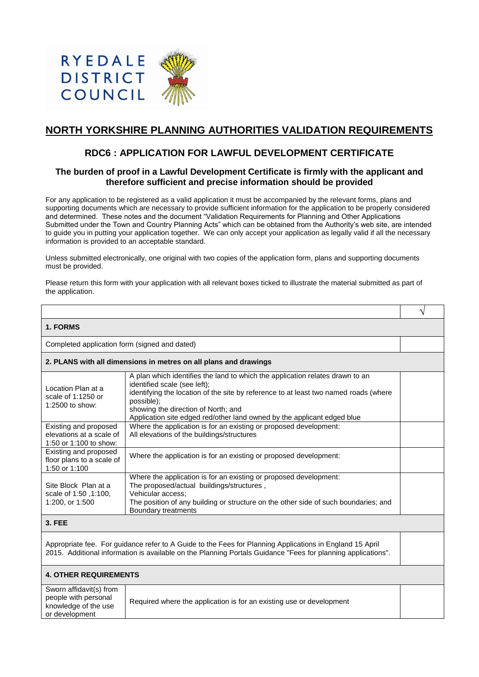

# **NORTH YORKSHIRE PLANNING AUTHORITIES VALIDATION REQUIREMENTS**

## **RDC6 : APPLICATION FOR LAWFUL DEVELOPMENT CERTIFICATE**

## **The burden of proof in a Lawful Development Certificate is firmly with the applicant and therefore sufficient and precise information should be provided**

For any application to be registered as a valid application it must be accompanied by the relevant forms, plans and supporting documents which are necessary to provide sufficient information for the application to be properly considered and determined. These notes and the document "Validation Requirements for Planning and Other Applications Submitted under the Town and Country Planning Acts" which can be obtained from the Authority's web site, are intended to guide you in putting your application together. We can only accept your application as legally valid if all the necessary information is provided to an acceptable standard.

Unless submitted electronically, one original with two copies of the application form, plans and supporting documents must be provided.

Please return this form with your application with all relevant boxes ticked to illustrate the material submitted as part of the application.

√

#### **1. FORMS**

Completed application form (signed and dated)

| 2. PLANS with all dimensions in metres on all plans and drawings |                                                                   |
|------------------------------------------------------------------|-------------------------------------------------------------------|
|                                                                  | A plan which identifies the land to which the application relates |

| Location Plan at a<br>scale of 1:1250 or<br>1:2500 to show: | A plan which identifies the land to which the application relates drawn to an<br>identified scale (see left);<br>identifying the location of the site by reference to at least two named roads (where<br>possible);<br>showing the direction of North; and<br>Application site edged red/other land owned by the applicant edged blue |  |
|-------------------------------------------------------------|---------------------------------------------------------------------------------------------------------------------------------------------------------------------------------------------------------------------------------------------------------------------------------------------------------------------------------------|--|
| Existing and proposed                                       | Where the application is for an existing or proposed development:                                                                                                                                                                                                                                                                     |  |
| elevations at a scale of                                    | All elevations of the buildings/structures                                                                                                                                                                                                                                                                                            |  |
| 1:50 or 1:100 to show:                                      |                                                                                                                                                                                                                                                                                                                                       |  |
| Existing and proposed                                       | Where the application is for an existing or proposed development:                                                                                                                                                                                                                                                                     |  |
| floor plans to a scale of                                   |                                                                                                                                                                                                                                                                                                                                       |  |
| 1:50 or 1:100                                               |                                                                                                                                                                                                                                                                                                                                       |  |
|                                                             | Where the application is for an existing or proposed development:                                                                                                                                                                                                                                                                     |  |
| Site Block Plan at a                                        | The proposed/actual buildings/structures,                                                                                                                                                                                                                                                                                             |  |
| scale of 1:50, 1:100,                                       | Vehicular access;                                                                                                                                                                                                                                                                                                                     |  |
| 1:200, or 1:500                                             | The position of any building or structure on the other side of such boundaries; and                                                                                                                                                                                                                                                   |  |
|                                                             | Boundary treatments                                                                                                                                                                                                                                                                                                                   |  |
| 3 FFF                                                       |                                                                                                                                                                                                                                                                                                                                       |  |

### **3. FEE**

Appropriate fee. For guidance refer to A Guide to the Fees for Planning Applications in England 15 April 2015. Additional information is available on the Planning Portals Guidance "Fees for planning applications".

| <b>4. OTHER REQUIREMENTS</b>                                                              |                                                                      |  |  |  |
|-------------------------------------------------------------------------------------------|----------------------------------------------------------------------|--|--|--|
| Sworn affidavit(s) from<br>people with personal<br>knowledge of the use<br>or development | Required where the application is for an existing use or development |  |  |  |